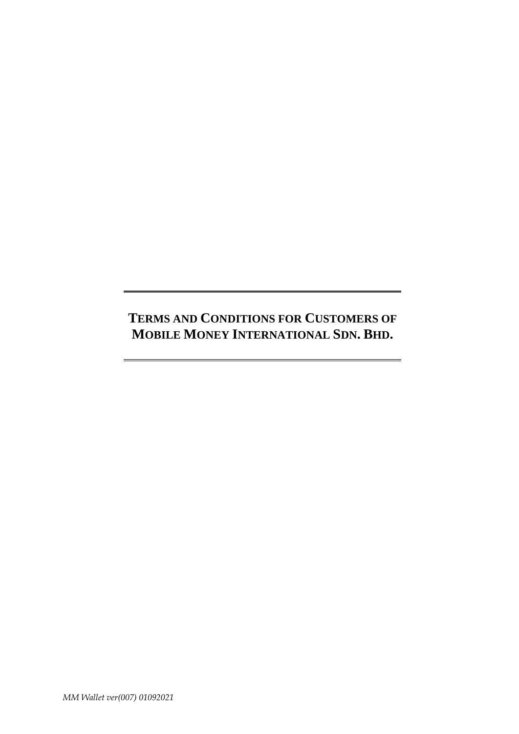# **TERMS AND CONDITIONS FOR CUSTOMERS OF MOBILE MONEY INTERNATIONAL SDN. BHD.**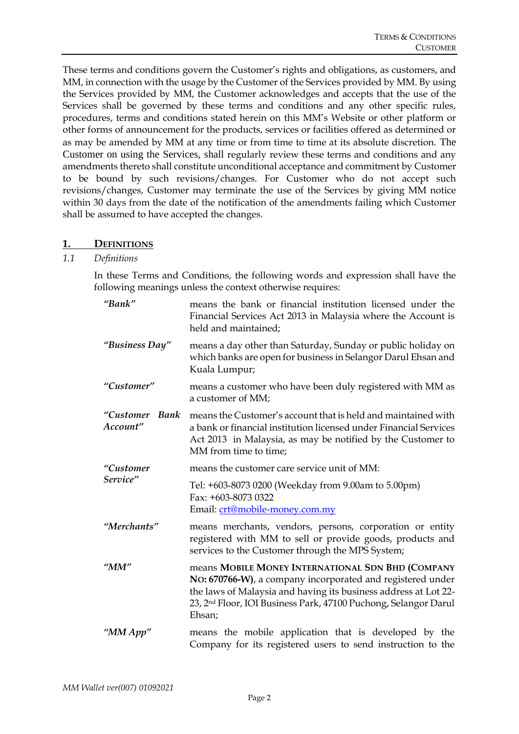These terms and conditions govern the Customer's rights and obligations, as customers, and MM, in connection with the usage by the Customer of the Services provided by MM. By using the Services provided by MM, the Customer acknowledges and accepts that the use of the Services shall be governed by these terms and conditions and any other specific rules, procedures, terms and conditions stated herein on this MM's Website or other platform or other forms of announcement for the products, services or facilities offered as determined or as may be amended by MM at any time or from time to time at its absolute discretion. The Customer on using the Services, shall regularly review these terms and conditions and any amendments thereto shall constitute unconditional acceptance and commitment by Customer to be bound by such revisions/changes. For Customer who do not accept such revisions/changes, Customer may terminate the use of the Services by giving MM notice within 30 days from the date of the notification of the amendments failing which Customer shall be assumed to have accepted the changes.

#### **1. DEFINITIONS**

## *1.1 Definitions*

In these Terms and Conditions, the following words and expression shall have the following meanings unless the context otherwise requires:

| "Bank"                     | means the bank or financial institution licensed under the<br>Financial Services Act 2013 in Malaysia where the Account is<br>held and maintained;                                                                                                                          |  |  |  |  |
|----------------------------|-----------------------------------------------------------------------------------------------------------------------------------------------------------------------------------------------------------------------------------------------------------------------------|--|--|--|--|
| "Business Day"             | means a day other than Saturday, Sunday or public holiday on<br>which banks are open for business in Selangor Darul Ehsan and<br>Kuala Lumpur;                                                                                                                              |  |  |  |  |
| "Customer"                 | means a customer who have been duly registered with MM as<br>a customer of MM;                                                                                                                                                                                              |  |  |  |  |
| "Customer Bank<br>Account" | means the Customer's account that is held and maintained with<br>a bank or financial institution licensed under Financial Services<br>Act 2013 in Malaysia, as may be notified by the Customer to<br>MM from time to time;                                                  |  |  |  |  |
| "Customer                  | means the customer care service unit of MM:                                                                                                                                                                                                                                 |  |  |  |  |
| Service"                   | Tel: +603-8073 0200 (Weekday from 9.00am to 5.00pm)<br>Fax: +603-8073 0322<br>Email: crt@mobile-money.com.my                                                                                                                                                                |  |  |  |  |
| "Merchants"                | means merchants, vendors, persons, corporation or entity<br>registered with MM to sell or provide goods, products and<br>services to the Customer through the MPS System;                                                                                                   |  |  |  |  |
| " $MM"$                    | means MOBILE MONEY INTERNATIONAL SDN BHD (COMPANY<br>NO: 670766-W), a company incorporated and registered under<br>the laws of Malaysia and having its business address at Lot 22-<br>23, 2 <sup>nd</sup> Floor, IOI Business Park, 47100 Puchong, Selangor Darul<br>Ehsan; |  |  |  |  |
| " $MM App"$                | means the mobile application that is developed by the<br>Company for its registered users to send instruction to the                                                                                                                                                        |  |  |  |  |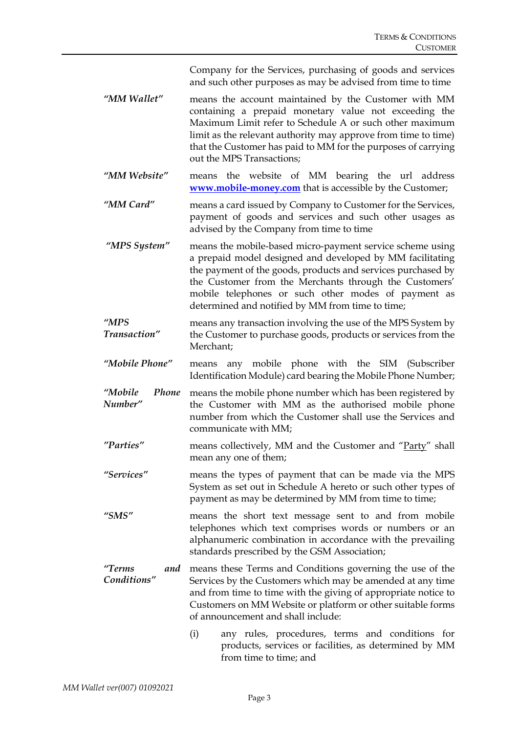Company for the Services, purchasing of goods and services and such other purposes as may be advised from time to time

- *"MM Wallet"* means the account maintained by the Customer with MM containing a prepaid monetary value not exceeding the Maximum Limit refer to Schedule A or such other maximum limit as the relevant authority may approve from time to time) that the Customer has paid to MM for the purposes of carrying out the MPS Transactions;
- *"MM Website"* means the website of MM bearing the url address **[www.mobile-money.com](http://www.mobile-money.com/)** that is accessible by the Customer;
- *"MM Card"* means a card issued by Company to Customer for the Services, payment of goods and services and such other usages as advised by the Company from time to time
- *"MPS System"* means the mobile-based micro-payment service scheme using a prepaid model designed and developed by MM facilitating the payment of the goods, products and services purchased by the Customer from the Merchants through the Customers' mobile telephones or such other modes of payment as determined and notified by MM from time to time;
- *"MPS Transaction"* means any transaction involving the use of the MPS System by the Customer to purchase goods, products or services from the Merchant;
- *"Mobile Phone"* means any mobile phone with the SIM (Subscriber Identification Module) card bearing the Mobile Phone Number;
- *"Mobile Phone Number"* means the mobile phone number which has been registered by the Customer with MM as the authorised mobile phone number from which the Customer shall use the Services and communicate with MM;
- *"Parties"* means collectively, MM and the Customer and "Party" shall mean any one of them;
- *"Services"* means the types of payment that can be made via the MPS System as set out in Schedule A hereto or such other types of payment as may be determined by MM from time to time;
- *"SMS"* means the short text message sent to and from mobile telephones which text comprises words or numbers or an alphanumeric combination in accordance with the prevailing standards prescribed by the GSM Association;
- *"Terms and Conditions"* means these Terms and Conditions governing the use of the Services by the Customers which may be amended at any time and from time to time with the giving of appropriate notice to Customers on MM Website or platform or other suitable forms of announcement and shall include:
	- (i) any rules, procedures, terms and conditions for products, services or facilities, as determined by MM from time to time; and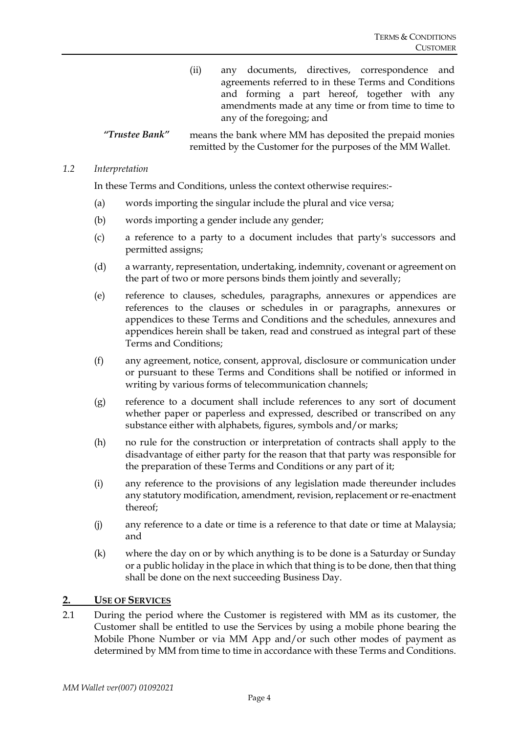(ii) any documents, directives, correspondence and agreements referred to in these Terms and Conditions and forming a part hereof, together with any amendments made at any time or from time to time to any of the foregoing; and

*"Trustee Bank"* means the bank where MM has deposited the prepaid monies remitted by the Customer for the purposes of the MM Wallet.

#### *1.2 Interpretation*

In these Terms and Conditions, unless the context otherwise requires:-

- (a) words importing the singular include the plural and vice versa;
- (b) words importing a gender include any gender;
- (c) a reference to a party to a document includes that party's successors and permitted assigns;
- (d) a warranty, representation, undertaking, indemnity, covenant or agreement on the part of two or more persons binds them jointly and severally;
- (e) reference to clauses, schedules, paragraphs, annexures or appendices are references to the clauses or schedules in or paragraphs, annexures or appendices to these Terms and Conditions and the schedules, annexures and appendices herein shall be taken, read and construed as integral part of these Terms and Conditions;
- (f) any agreement, notice, consent, approval, disclosure or communication under or pursuant to these Terms and Conditions shall be notified or informed in writing by various forms of telecommunication channels;
- (g) reference to a document shall include references to any sort of document whether paper or paperless and expressed, described or transcribed on any substance either with alphabets, figures, symbols and/or marks;
- (h) no rule for the construction or interpretation of contracts shall apply to the disadvantage of either party for the reason that that party was responsible for the preparation of these Terms and Conditions or any part of it;
- (i) any reference to the provisions of any legislation made thereunder includes any statutory modification, amendment, revision, replacement or re-enactment thereof;
- (j) any reference to a date or time is a reference to that date or time at Malaysia; and
- (k) where the day on or by which anything is to be done is a Saturday or Sunday or a public holiday in the place in which that thing is to be done, then that thing shall be done on the next succeeding Business Day.

#### **2. USE OF SERVICES**

2.1 During the period where the Customer is registered with MM as its customer, the Customer shall be entitled to use the Services by using a mobile phone bearing the Mobile Phone Number or via MM App and/or such other modes of payment as determined by MM from time to time in accordance with these Terms and Conditions.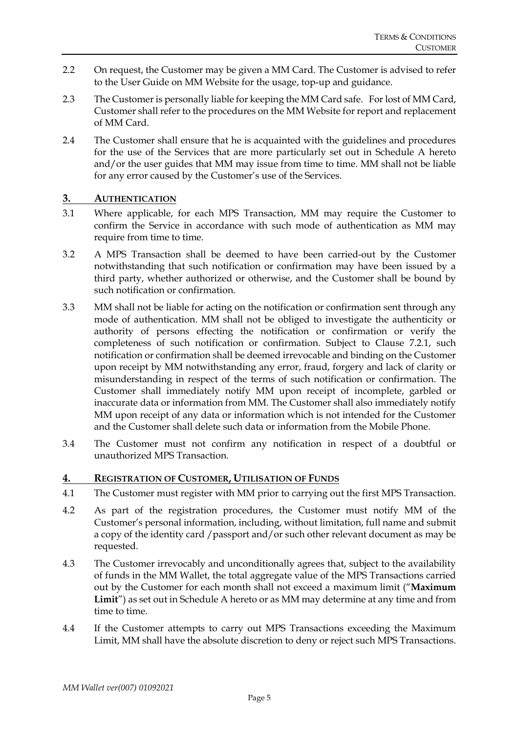- 2.2 On request, the Customer may be given a MM Card. The Customer is advised to refer to the User Guide on MM Website for the usage, top-up and guidance.
- 2.3 The Customer is personally liable for keeping the MM Card safe. For lost of MM Card, Customer shall refer to the procedures on the MM Website for report and replacement of MM Card.
- 2.4 The Customer shall ensure that he is acquainted with the guidelines and procedures for the use of the Services that are more particularly set out in Schedule A hereto and/or the user guides that MM may issue from time to time. MM shall not be liable for any error caused by the Customer's use of the Services.

#### **3. AUTHENTICATION**

- 3.1 Where applicable, for each MPS Transaction, MM may require the Customer to confirm the Service in accordance with such mode of authentication as MM may require from time to time.
- 3.2 A MPS Transaction shall be deemed to have been carried-out by the Customer notwithstanding that such notification or confirmation may have been issued by a third party, whether authorized or otherwise, and the Customer shall be bound by such notification or confirmation.
- 3.3 MM shall not be liable for acting on the notification or confirmation sent through any mode of authentication. MM shall not be obliged to investigate the authenticity or authority of persons effecting the notification or confirmation or verify the completeness of such notification or confirmation. Subject to Clause 7.2.1, such notification or confirmation shall be deemed irrevocable and binding on the Customer upon receipt by MM notwithstanding any error, fraud, forgery and lack of clarity or misunderstanding in respect of the terms of such notification or confirmation. The Customer shall immediately notify MM upon receipt of incomplete, garbled or inaccurate data or information from MM. The Customer shall also immediately notify MM upon receipt of any data or information which is not intended for the Customer and the Customer shall delete such data or information from the Mobile Phone.
- 3.4 The Customer must not confirm any notification in respect of a doubtful or unauthorized MPS Transaction.

#### **4. REGISTRATION OF CUSTOMER, UTILISATION OF FUNDS**

- 4.1 The Customer must register with MM prior to carrying out the first MPS Transaction.
- 4.2 As part of the registration procedures, the Customer must notify MM of the Customer's personal information, including, without limitation, full name and submit a copy of the identity card /passport and/or such other relevant document as may be requested.
- 4.3 The Customer irrevocably and unconditionally agrees that, subject to the availability of funds in the MM Wallet, the total aggregate value of the MPS Transactions carried out by the Customer for each month shall not exceed a maximum limit ("**Maximum Limit**") as set out in Schedule A hereto or as MM may determine at any time and from time to time.
- 4.4 If the Customer attempts to carry out MPS Transactions exceeding the Maximum Limit, MM shall have the absolute discretion to deny or reject such MPS Transactions.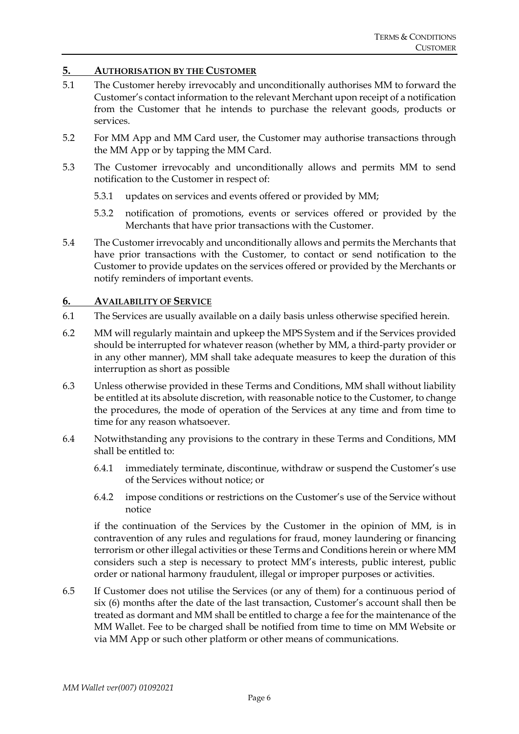#### **5. AUTHORISATION BY THE CUSTOMER**

- 5.1 The Customer hereby irrevocably and unconditionally authorises MM to forward the Customer's contact information to the relevant Merchant upon receipt of a notification from the Customer that he intends to purchase the relevant goods, products or services.
- 5.2 For MM App and MM Card user, the Customer may authorise transactions through the MM App or by tapping the MM Card.
- 5.3 The Customer irrevocably and unconditionally allows and permits MM to send notification to the Customer in respect of:
	- 5.3.1 updates on services and events offered or provided by MM;
	- 5.3.2 notification of promotions, events or services offered or provided by the Merchants that have prior transactions with the Customer.
- 5.4 The Customer irrevocably and unconditionally allows and permits the Merchants that have prior transactions with the Customer, to contact or send notification to the Customer to provide updates on the services offered or provided by the Merchants or notify reminders of important events.

#### **6. AVAILABILITY OF SERVICE**

- 6.1 The Services are usually available on a daily basis unless otherwise specified herein.
- 6.2 MM will regularly maintain and upkeep the MPS System and if the Services provided should be interrupted for whatever reason (whether by MM, a third-party provider or in any other manner), MM shall take adequate measures to keep the duration of this interruption as short as possible
- 6.3 Unless otherwise provided in these Terms and Conditions, MM shall without liability be entitled at its absolute discretion, with reasonable notice to the Customer, to change the procedures, the mode of operation of the Services at any time and from time to time for any reason whatsoever.
- 6.4 Notwithstanding any provisions to the contrary in these Terms and Conditions, MM shall be entitled to:
	- 6.4.1 immediately terminate, discontinue, withdraw or suspend the Customer's use of the Services without notice; or
	- 6.4.2 impose conditions or restrictions on the Customer's use of the Service without notice

if the continuation of the Services by the Customer in the opinion of MM, is in contravention of any rules and regulations for fraud, money laundering or financing terrorism or other illegal activities or these Terms and Conditions herein or where MM considers such a step is necessary to protect MM's interests, public interest, public order or national harmony fraudulent, illegal or improper purposes or activities.

6.5 If Customer does not utilise the Services (or any of them) for a continuous period of six (6) months after the date of the last transaction, Customer's account shall then be treated as dormant and MM shall be entitled to charge a fee for the maintenance of the MM Wallet. Fee to be charged shall be notified from time to time on MM Website or via MM App or such other platform or other means of communications.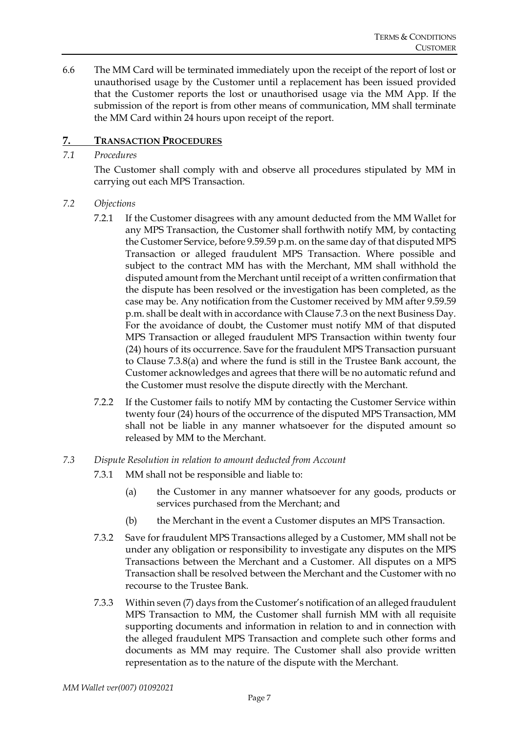6.6 The MM Card will be terminated immediately upon the receipt of the report of lost or unauthorised usage by the Customer until a replacement has been issued provided that the Customer reports the lost or unauthorised usage via the MM App. If the submission of the report is from other means of communication, MM shall terminate the MM Card within 24 hours upon receipt of the report.

## **7. TRANSACTION PROCEDURES**

#### *7.1 Procedures*

The Customer shall comply with and observe all procedures stipulated by MM in carrying out each MPS Transaction.

#### *7.2 Objections*

- 7.2.1 If the Customer disagrees with any amount deducted from the MM Wallet for any MPS Transaction, the Customer shall forthwith notify MM, by contacting the Customer Service, before 9.59.59 p.m. on the same day of that disputed MPS Transaction or alleged fraudulent MPS Transaction. Where possible and subject to the contract MM has with the Merchant, MM shall withhold the disputed amount from the Merchant until receipt of a written confirmation that the dispute has been resolved or the investigation has been completed, as the case may be. Any notification from the Customer received by MM after 9.59.59 p.m. shall be dealt with in accordance with Clause 7.3 on the next Business Day. For the avoidance of doubt, the Customer must notify MM of that disputed MPS Transaction or alleged fraudulent MPS Transaction within twenty four (24) hours of its occurrence. Save for the fraudulent MPS Transaction pursuant to Clause 7.3.8(a) and where the fund is still in the Trustee Bank account, the Customer acknowledges and agrees that there will be no automatic refund and the Customer must resolve the dispute directly with the Merchant.
- 7.2.2 If the Customer fails to notify MM by contacting the Customer Service within twenty four (24) hours of the occurrence of the disputed MPS Transaction, MM shall not be liable in any manner whatsoever for the disputed amount so released by MM to the Merchant.

#### *7.3 Dispute Resolution in relation to amount deducted from Account*

- 7.3.1 MM shall not be responsible and liable to:
	- (a) the Customer in any manner whatsoever for any goods, products or services purchased from the Merchant; and
	- (b) the Merchant in the event a Customer disputes an MPS Transaction.
- 7.3.2 Save for fraudulent MPS Transactions alleged by a Customer, MM shall not be under any obligation or responsibility to investigate any disputes on the MPS Transactions between the Merchant and a Customer. All disputes on a MPS Transaction shall be resolved between the Merchant and the Customer with no recourse to the Trustee Bank.
- 7.3.3 Within seven (7) days from the Customer's notification of an alleged fraudulent MPS Transaction to MM, the Customer shall furnish MM with all requisite supporting documents and information in relation to and in connection with the alleged fraudulent MPS Transaction and complete such other forms and documents as MM may require. The Customer shall also provide written representation as to the nature of the dispute with the Merchant.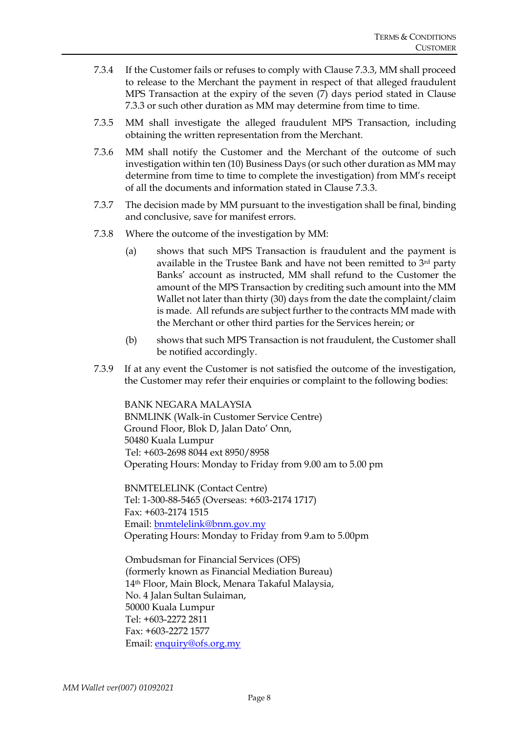- 7.3.4 If the Customer fails or refuses to comply with Clause 7.3.3, MM shall proceed to release to the Merchant the payment in respect of that alleged fraudulent MPS Transaction at the expiry of the seven (7) days period stated in Clause 7.3.3 or such other duration as MM may determine from time to time.
- 7.3.5 MM shall investigate the alleged fraudulent MPS Transaction, including obtaining the written representation from the Merchant.
- 7.3.6 MM shall notify the Customer and the Merchant of the outcome of such investigation within ten (10) Business Days (or such other duration as MM may determine from time to time to complete the investigation) from MM's receipt of all the documents and information stated in Clause 7.3.3.
- 7.3.7 The decision made by MM pursuant to the investigation shall be final, binding and conclusive, save for manifest errors.
- 7.3.8 Where the outcome of the investigation by MM:
	- (a) shows that such MPS Transaction is fraudulent and the payment is available in the Trustee Bank and have not been remitted to 3rd party Banks' account as instructed, MM shall refund to the Customer the amount of the MPS Transaction by crediting such amount into the MM Wallet not later than thirty (30) days from the date the complaint/claim is made. All refunds are subject further to the contracts MM made with the Merchant or other third parties for the Services herein; or
	- (b) shows that such MPS Transaction is not fraudulent, the Customer shall be notified accordingly.
- 7.3.9 If at any event the Customer is not satisfied the outcome of the investigation, the Customer may refer their enquiries or complaint to the following bodies:

BANK NEGARA MALAYSIA BNMLINK (Walk-in Customer Service Centre) Ground Floor, Blok D, Jalan Dato' Onn, 50480 Kuala Lumpur Tel: +603-2698 8044 ext 8950/8958 Operating Hours: Monday to Friday from 9.00 am to 5.00 pm

BNMTELELINK (Contact Centre) Tel: 1-300-88-5465 (Overseas: +603-2174 1717) Fax: +603-2174 1515 Email[: bnmtelelink@bnm.gov.my](mailto:bnmtelelink@bnm.gov.my) Operating Hours: Monday to Friday from 9.am to 5.00pm

Ombudsman for Financial Services (OFS) (formerly known as Financial Mediation Bureau) 14th Floor, Main Block, Menara Takaful Malaysia, No. 4 Jalan Sultan Sulaiman, 50000 Kuala Lumpur Tel: +603-2272 2811 Fax: +603-2272 1577 Email: [enquiry@ofs.org.my](mailto:enquiry@ofs.org.my)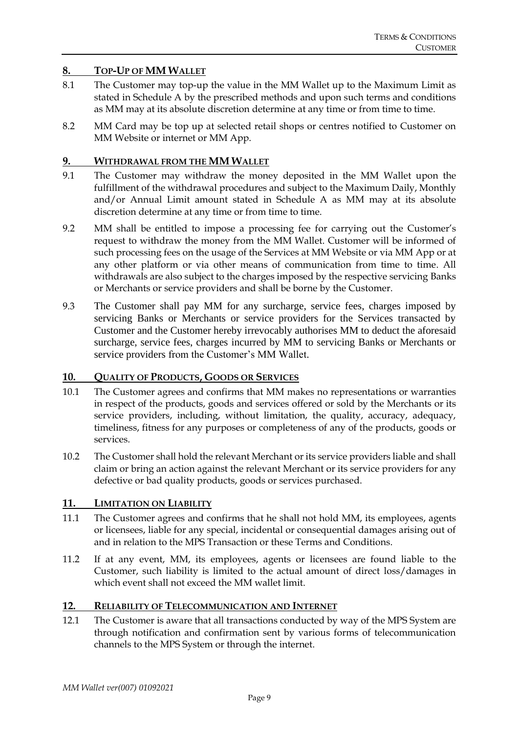#### **8. TOP-UP OF MM WALLET**

- 8.1 The Customer may top-up the value in the MM Wallet up to the Maximum Limit as stated in Schedule A by the prescribed methods and upon such terms and conditions as MM may at its absolute discretion determine at any time or from time to time.
- 8.2 MM Card may be top up at selected retail shops or centres notified to Customer on MM Website or internet or MM App.

#### **9. WITHDRAWAL FROM THE MM WALLET**

- 9.1 The Customer may withdraw the money deposited in the MM Wallet upon the fulfillment of the withdrawal procedures and subject to the Maximum Daily, Monthly and/or Annual Limit amount stated in Schedule A as MM may at its absolute discretion determine at any time or from time to time.
- 9.2 MM shall be entitled to impose a processing fee for carrying out the Customer's request to withdraw the money from the MM Wallet. Customer will be informed of such processing fees on the usage of the Services at MM Website or via MM App or at any other platform or via other means of communication from time to time. All withdrawals are also subject to the charges imposed by the respective servicing Banks or Merchants or service providers and shall be borne by the Customer.
- 9.3 The Customer shall pay MM for any surcharge, service fees, charges imposed by servicing Banks or Merchants or service providers for the Services transacted by Customer and the Customer hereby irrevocably authorises MM to deduct the aforesaid surcharge, service fees, charges incurred by MM to servicing Banks or Merchants or service providers from the Customer's MM Wallet.

#### **10. QUALITY OF PRODUCTS, GOODS OR SERVICES**

- 10.1 The Customer agrees and confirms that MM makes no representations or warranties in respect of the products, goods and services offered or sold by the Merchants or its service providers, including, without limitation, the quality, accuracy, adequacy, timeliness, fitness for any purposes or completeness of any of the products, goods or services.
- 10.2 The Customer shall hold the relevant Merchant or its service providers liable and shall claim or bring an action against the relevant Merchant or its service providers for any defective or bad quality products, goods or services purchased.

## **11. LIMITATION ON LIABILITY**

- 11.1 The Customer agrees and confirms that he shall not hold MM, its employees, agents or licensees, liable for any special, incidental or consequential damages arising out of and in relation to the MPS Transaction or these Terms and Conditions.
- 11.2 If at any event, MM, its employees, agents or licensees are found liable to the Customer, such liability is limited to the actual amount of direct loss/damages in which event shall not exceed the MM wallet limit.

#### **12. RELIABILITY OF TELECOMMUNICATION AND INTERNET**

12.1 The Customer is aware that all transactions conducted by way of the MPS System are through notification and confirmation sent by various forms of telecommunication channels to the MPS System or through the internet.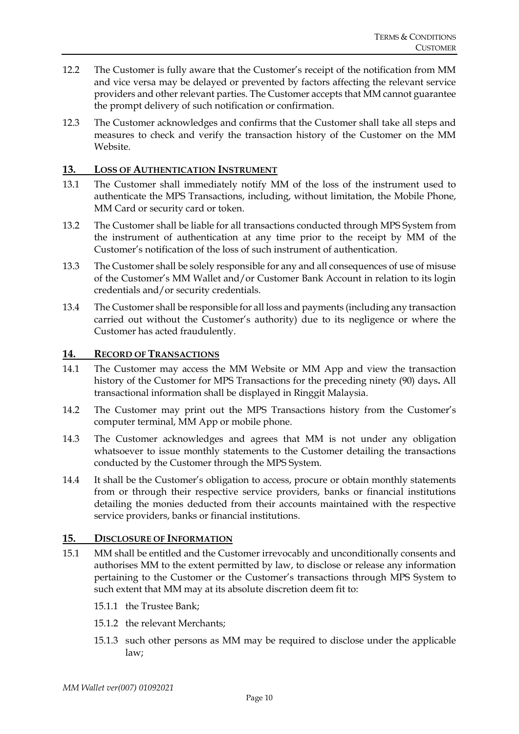- 12.2 The Customer is fully aware that the Customer's receipt of the notification from MM and vice versa may be delayed or prevented by factors affecting the relevant service providers and other relevant parties. The Customer accepts that MM cannot guarantee the prompt delivery of such notification or confirmation.
- 12.3 The Customer acknowledges and confirms that the Customer shall take all steps and measures to check and verify the transaction history of the Customer on the MM Website.

#### **13. LOSS OF AUTHENTICATION INSTRUMENT**

- 13.1 The Customer shall immediately notify MM of the loss of the instrument used to authenticate the MPS Transactions, including, without limitation, the Mobile Phone, MM Card or security card or token.
- 13.2 The Customer shall be liable for all transactions conducted through MPS System from the instrument of authentication at any time prior to the receipt by MM of the Customer's notification of the loss of such instrument of authentication.
- 13.3 The Customer shall be solely responsible for any and all consequences of use of misuse of the Customer's MM Wallet and/or Customer Bank Account in relation to its login credentials and/or security credentials.
- 13.4 The Customer shall be responsible for all loss and payments (including any transaction carried out without the Customer's authority) due to its negligence or where the Customer has acted fraudulently.

#### **14. RECORD OF TRANSACTIONS**

- 14.1 The Customer may access the MM Website or MM App and view the transaction history of the Customer for MPS Transactions for the preceding ninety (90) days**.** All transactional information shall be displayed in Ringgit Malaysia.
- 14.2 The Customer may print out the MPS Transactions history from the Customer's computer terminal, MM App or mobile phone.
- 14.3 The Customer acknowledges and agrees that MM is not under any obligation whatsoever to issue monthly statements to the Customer detailing the transactions conducted by the Customer through the MPS System.
- 14.4 It shall be the Customer's obligation to access, procure or obtain monthly statements from or through their respective service providers, banks or financial institutions detailing the monies deducted from their accounts maintained with the respective service providers, banks or financial institutions.

#### **15. DISCLOSURE OF INFORMATION**

- 15.1 MM shall be entitled and the Customer irrevocably and unconditionally consents and authorises MM to the extent permitted by law, to disclose or release any information pertaining to the Customer or the Customer's transactions through MPS System to such extent that MM may at its absolute discretion deem fit to:
	- 15.1.1 the Trustee Bank;
	- 15.1.2 the relevant Merchants;
	- 15.1.3 such other persons as MM may be required to disclose under the applicable law;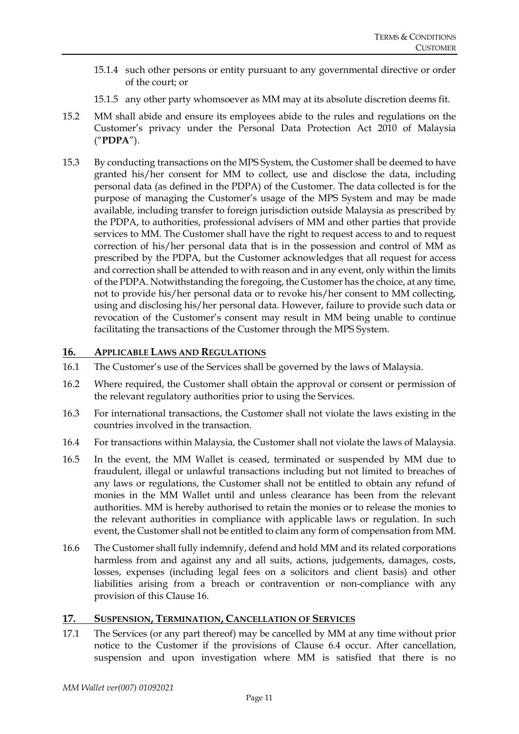- 15.1.4 such other persons or entity pursuant to any governmental directive or order of the court; or
- 15.1.5 any other party whomsoever as MM may at its absolute discretion deems fit.
- 15.2 MM shall abide and ensure its employees abide to the rules and regulations on the Customer's privacy under the Personal Data Protection Act 2010 of Malaysia ("**PDPA**").
- 15.3 By conducting transactions on the MPS System, the Customer shall be deemed to have granted his/her consent for MM to collect, use and disclose the data, including personal data (as defined in the PDPA) of the Customer. The data collected is for the purpose of managing the Customer's usage of the MPS System and may be made available, including transfer to foreign jurisdiction outside Malaysia as prescribed by the PDPA, to authorities, professional advisers of MM and other parties that provide services to MM. The Customer shall have the right to request access to and to request correction of his/her personal data that is in the possession and control of MM as prescribed by the PDPA, but the Customer acknowledges that all request for access and correction shall be attended to with reason and in any event, only within the limits of the PDPA. Notwithstanding the foregoing, the Customer has the choice, at any time, not to provide his/her personal data or to revoke his/her consent to MM collecting, using and disclosing his/her personal data. However, failure to provide such data or revocation of the Customer's consent may result in MM being unable to continue facilitating the transactions of the Customer through the MPS System.

#### **16. APPLICABLE LAWS AND REGULATIONS**

- 16.1 The Customer's use of the Services shall be governed by the laws of Malaysia.
- 16.2 Where required, the Customer shall obtain the approval or consent or permission of the relevant regulatory authorities prior to using the Services.
- 16.3 For international transactions, the Customer shall not violate the laws existing in the countries involved in the transaction.
- 16.4 For transactions within Malaysia, the Customer shall not violate the laws of Malaysia.
- 16.5 In the event, the MM Wallet is ceased, terminated or suspended by MM due to fraudulent, illegal or unlawful transactions including but not limited to breaches of any laws or regulations, the Customer shall not be entitled to obtain any refund of monies in the MM Wallet until and unless clearance has been from the relevant authorities. MM is hereby authorised to retain the monies or to release the monies to the relevant authorities in compliance with applicable laws or regulation. In such event, the Customer shall not be entitled to claim any form of compensation from MM.
- 16.6 The Customer shall fully indemnify, defend and hold MM and its related corporations harmless from and against any and all suits, actions, judgements, damages, costs, losses, expenses (including legal fees on a solicitors and client basis) and other liabilities arising from a breach or contravention or non-compliance with any provision of this Clause 16.

#### **17. SUSPENSION, TERMINATION, CANCELLATION OF SERVICES**

17.1 The Services (or any part thereof) may be cancelled by MM at any time without prior notice to the Customer if the provisions of Clause 6.4 occur. After cancellation, suspension and upon investigation where MM is satisfied that there is no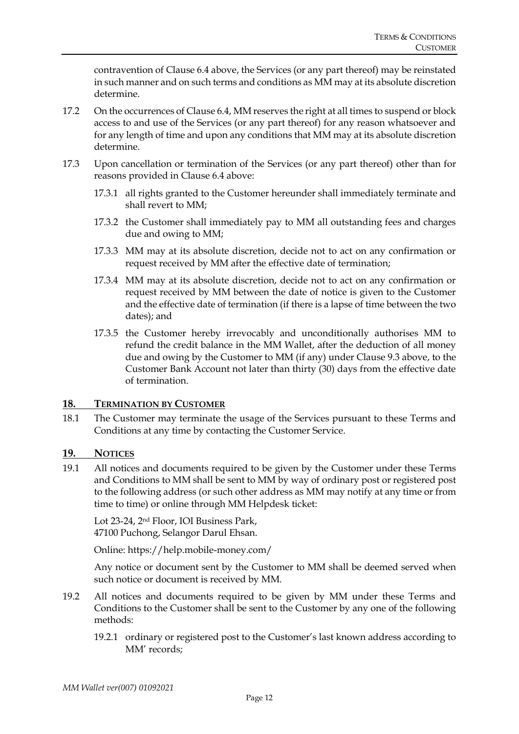contravention of Clause 6.4 above, the Services (or any part thereof) may be reinstated in such manner and on such terms and conditions as MM may at its absolute discretion determine.

- 17.2 On the occurrences of Clause 6.4, MM reserves the right at all times to suspend or block access to and use of the Services (or any part thereof) for any reason whatsoever and for any length of time and upon any conditions that MM may at its absolute discretion determine.
- 17.3 Upon cancellation or termination of the Services (or any part thereof) other than for reasons provided in Clause 6.4 above:
	- 17.3.1 all rights granted to the Customer hereunder shall immediately terminate and shall revert to MM;
	- 17.3.2 the Customer shall immediately pay to MM all outstanding fees and charges due and owing to MM;
	- 17.3.3 MM may at its absolute discretion, decide not to act on any confirmation or request received by MM after the effective date of termination;
	- 17.3.4 MM may at its absolute discretion, decide not to act on any confirmation or request received by MM between the date of notice is given to the Customer and the effective date of termination (if there is a lapse of time between the two dates); and
	- 17.3.5 the Customer hereby irrevocably and unconditionally authorises MM to refund the credit balance in the MM Wallet, after the deduction of all money due and owing by the Customer to MM (if any) under Clause 9.3 above, to the Customer Bank Account not later than thirty (30) days from the effective date of termination.

#### **18. TERMINATION BY CUSTOMER**

18.1 The Customer may terminate the usage of the Services pursuant to these Terms and Conditions at any time by contacting the Customer Service.

#### **19. NOTICES**

19.1 All notices and documents required to be given by the Customer under these Terms and Conditions to MM shall be sent to MM by way of ordinary post or registered post to the following address (or such other address as MM may notify at any time or from time to time) or online through MM Helpdesk ticket:

Lot 23-24, 2nd Floor, IOI Business Park, 47100 Puchong, Selangor Darul Ehsan.

Online: https://help.mobile-money.com/

Any notice or document sent by the Customer to MM shall be deemed served when such notice or document is received by MM.

- 19.2 All notices and documents required to be given by MM under these Terms and Conditions to the Customer shall be sent to the Customer by any one of the following methods:
	- 19.2.1 ordinary or registered post to the Customer's last known address according to MM' records;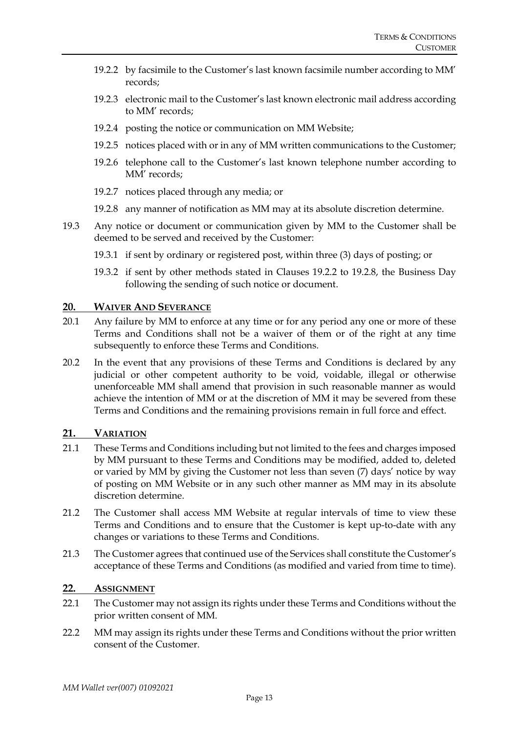- 19.2.2 by facsimile to the Customer's last known facsimile number according to MM' records;
- 19.2.3 electronic mail to the Customer's last known electronic mail address according to MM' records;
- 19.2.4 posting the notice or communication on MM Website;
- 19.2.5 notices placed with or in any of MM written communications to the Customer;
- 19.2.6 telephone call to the Customer's last known telephone number according to MM' records;
- 19.2.7 notices placed through any media; or
- 19.2.8 any manner of notification as MM may at its absolute discretion determine.
- 19.3 Any notice or document or communication given by MM to the Customer shall be deemed to be served and received by the Customer:
	- 19.3.1 if sent by ordinary or registered post, within three (3) days of posting; or
	- 19.3.2 if sent by other methods stated in Clauses 19.2.2 to 19.2.8, the Business Day following the sending of such notice or document.

#### **20. WAIVER AND SEVERANCE**

- 20.1 Any failure by MM to enforce at any time or for any period any one or more of these Terms and Conditions shall not be a waiver of them or of the right at any time subsequently to enforce these Terms and Conditions.
- 20.2 In the event that any provisions of these Terms and Conditions is declared by any judicial or other competent authority to be void, voidable, illegal or otherwise unenforceable MM shall amend that provision in such reasonable manner as would achieve the intention of MM or at the discretion of MM it may be severed from these Terms and Conditions and the remaining provisions remain in full force and effect.

#### **21. VARIATION**

- 21.1 These Terms and Conditions including but not limited to the fees and charges imposed by MM pursuant to these Terms and Conditions may be modified, added to, deleted or varied by MM by giving the Customer not less than seven (7) days' notice by way of posting on MM Website or in any such other manner as MM may in its absolute discretion determine.
- 21.2 The Customer shall access MM Website at regular intervals of time to view these Terms and Conditions and to ensure that the Customer is kept up-to-date with any changes or variations to these Terms and Conditions.
- 21.3 The Customer agrees that continued use of the Services shall constitute the Customer's acceptance of these Terms and Conditions (as modified and varied from time to time).

#### **22. ASSIGNMENT**

- 22.1 The Customer may not assign its rights under these Terms and Conditions without the prior written consent of MM.
- 22.2 MM may assign its rights under these Terms and Conditions without the prior written consent of the Customer.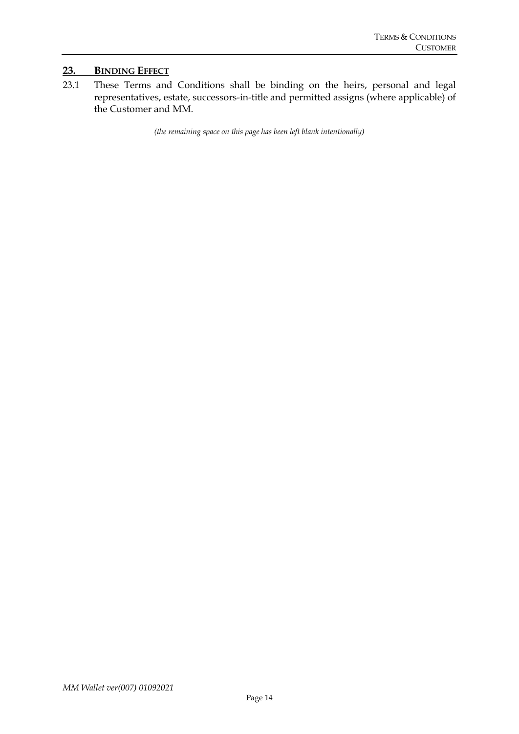#### **23. BINDING EFFECT**

23.1 These Terms and Conditions shall be binding on the heirs, personal and legal representatives, estate, successors-in-title and permitted assigns (where applicable) of the Customer and MM.

*(the remaining space on this page has been left blank intentionally)*